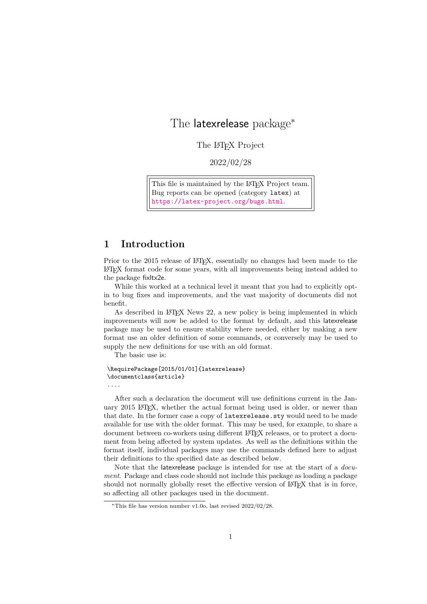# The latexrelease package<sup>∗</sup>

The L<sup>AT</sup>EX Project

2022/02/28

This file is maintained by the L<sup>AT</sup>F<sub>X</sub> Project team. Bug reports can be opened (category latex) at <https://latex-project.org/bugs.html>.

# 1 Introduction

Prior to the 2015 release of LAT<sub>EX</sub>, essentially no changes had been made to the LATEX format code for some years, with all improvements being instead added to the package fixltx2e.

While this worked at a technical level it meant that you had to explicitly optin to bug fixes and improvements, and the vast majority of documents did not benefit.

As described in LATEX News 22, a new policy is being implemented in which improvements will now be added to the format by default, and this latexrelease package may be used to ensure stability where needed, either by making a new format use an older definition of some commands, or conversely may be used to supply the new definitions for use with an old format.

The basic use is:

```
\RequirePackage[2015/01/01]{latexrelease}
\documentclass{article}
....
```
After such a declaration the document will use definitions current in the January 2015 LAT<sub>E</sub>X, whether the actual format being used is older, or newer than that date. In the former case a copy of **latexrelease**.sty would need to be made available for use with the older format. This may be used, for example, to share a document between co-workers using different LATEX releases, or to protect a document from being affected by system updates. As well as the definitions within the format itself, individual packages may use the commands defined here to adjust their definitions to the specified date as described below.

Note that the latexrelease package is intended for use at the start of a document. Package and class code should not include this package as loading a package should not normally globally reset the effective version of LAT<sub>EX</sub> that is in force, so affecting all other packages used in the document.

<sup>\*</sup>This file has version number v1.0o, last revised  $2022/02/28$ .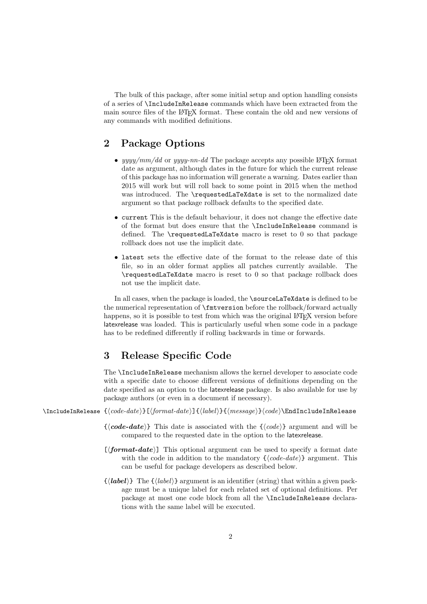The bulk of this package, after some initial setup and option handling consists of a series of \IncludeInRelease commands which have been extracted from the main source files of the LATEX format. These contain the old and new versions of any commands with modified definitions.

# 2 Package Options

- yyyy/mm/dd or yyyy-nn-dd The package accepts any possible LAT<sub>EX</sub> format date as argument, although dates in the future for which the current release of this package has no information will generate a warning. Dates earlier than 2015 will work but will roll back to some point in 2015 when the method was introduced. The \requestedLaTeXdate is set to the normalized date argument so that package rollback defaults to the specified date.
- current This is the default behaviour, it does not change the effective date of the format but does ensure that the \IncludeInRelease command is defined. The \requestedLaTeXdate macro is reset to 0 so that package rollback does not use the implicit date.
- latest sets the effective date of the format to the release date of this file, so in an older format applies all patches currently available. The \requestedLaTeXdate macro is reset to 0 so that package rollback does not use the implicit date.

In all cases, when the package is loaded, the \sourceLaTeXdate is defined to be the numerical representation of \fmtversion before the rollback/forward actually happens, so it is possible to test from which was the original LAT<sub>EX</sub> version before latexrelease was loaded. This is particularly useful when some code in a package has to be redefined differently if rolling backwards in time or forwards.

# 3 Release Specific Code

The \IncludeInRelease mechanism allows the kernel developer to associate code with a specific date to choose different versions of definitions depending on the date specified as an option to the latexrelease package. Is also available for use by package authors (or even in a document if necessary).

\IncludeInRelease {⟨code-date⟩}[⟨format-date⟩]{⟨label⟩}{⟨message⟩}⟨code⟩\EndIncludeInRelease

- $\{\langle code\text{-}date\rangle\}$  This date is associated with the  $\{\langle code\rangle\}$  argument and will be compared to the requested date in the option to the latexrelease.
- $[\langle format\text{-}date\rangle]$  This optional argument can be used to specify a format date with the code in addition to the mandatory  $\{\langle code\text{-}date\rangle\}$  argument. This can be useful for package developers as described below.
- $\{\langle label \rangle\}$  The  $\{\langle label \rangle\}$  argument is an identifier (string) that within a given package must be a unique label for each related set of optional definitions. Per package at most one code block from all the \IncludeInRelease declarations with the same label will be executed.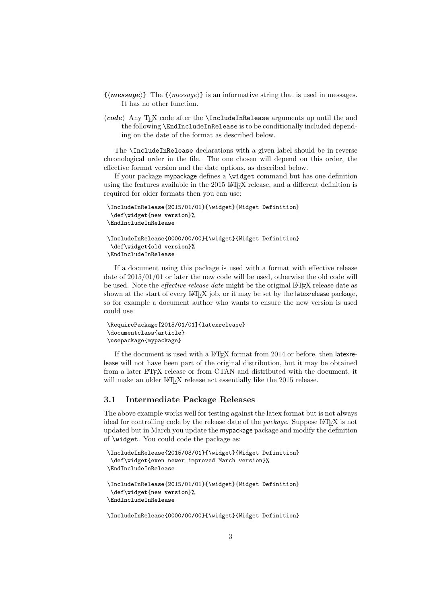- $\{\langle message \rangle\}$  The  $\{\langle message \rangle\}$  is an informative string that is used in messages. It has no other function.
- $\langle code \rangle$  Any T<sub>E</sub>X code after the **\IncludeInRelease** arguments up until the and the following \EndIncludeInRelease is to be conditionally included depending on the date of the format as described below.

The \IncludeInRelease declarations with a given label should be in reverse chronological order in the file. The one chosen will depend on this order, the effective format version and the date options, as described below.

If your package mypackage defines a \widget command but has one definition using the features available in the 2015 LAT<sub>EX</sub> release, and a different definition is required for older formats then you can use:

```
\IncludeInRelease{2015/01/01}{\widget}{Widget Definition}
\def\widget{new version}%
\EndIncludeInRelease
\IncludeInRelease{0000/00/00}{\widget}{Widget Definition}
```

```
\def\widget{old version}%
```

```
\EndIncludeInRelease
```
If a document using this package is used with a format with effective release date of 2015/01/01 or later the new code will be used, otherwise the old code will be used. Note the *effective release date* might be the original LAT<sub>EX</sub> release date as shown at the start of every LATEX job, or it may be set by the latexrelease package, so for example a document author who wants to ensure the new version is used could use

```
\RequirePackage[2015/01/01]{latexrelease}
\documentclass{article}
\usepackage{mypackage}
```
If the document is used with a LAT<sub>EX</sub> format from 2014 or before, then latexrelease will not have been part of the original distribution, but it may be obtained from a later LAT<sub>EX</sub> release or from CTAN and distributed with the document, it will make an older LAT<sub>EX</sub> release act essentially like the 2015 release.

### 3.1 Intermediate Package Releases

The above example works well for testing against the latex format but is not always ideal for controlling code by the release date of the *package*. Suppose L<sup>AT</sup>EX is not updated but in March you update the mypackage package and modify the definition of \widget. You could code the package as:

```
\IncludeInRelease{2015/03/01}{\widget}{Widget Definition}
\def\widget{even newer improved March version}%
\EndIncludeInRelease
\IncludeInRelease{2015/01/01}{\widget}{Widget Definition}
```

```
\def\widget{new version}%
\EndIncludeInRelease
```
\IncludeInRelease{0000/00/00}{\widget}{Widget Definition}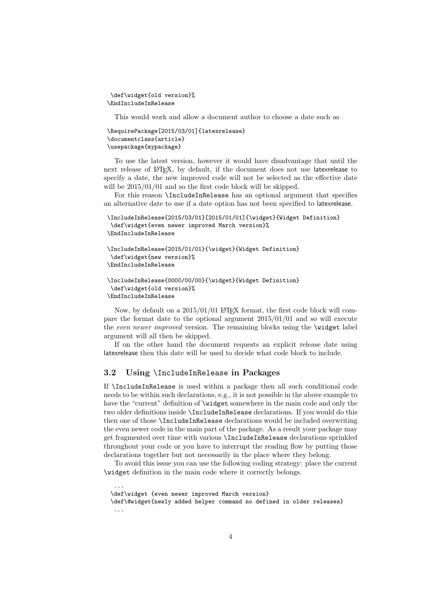```
\def\widget{old version}%
\EndIncludeInRelease
```
This would work and allow a document author to choose a date such as

```
\RequirePackage[2015/03/01]{latexrelease}
\documentclass{article}
\usepackage{mypackage}
```
To use the latest version, however it would have disadvantage that until the next release of L<sup>AT</sup>EX, by default, if the document does not use latexrelease to specify a date, the new improved code will not be selected as the effective date will be  $2015/01/01$  and so the first code block will be skipped.

For this reason \IncludeInRelease has an optional argument that specifies an alternative date to use if a date option has not been specified to latexrelease.

```
\IncludeInRelease{2015/03/01}[2015/01/01]{\widget}{Widget Definition}
\def\widget{even newer improved March version}%
\EndIncludeInRelease
```

```
\IncludeInRelease{2015/01/01}{\widget}{Widget Definition}
\def\widget{new version}%
\EndIncludeInRelease
```

```
\IncludeInRelease{0000/00/00}{\widget}{Widget Definition}
\def\widget{old version}%
\EndIncludeInRelease
```
Now, by default on a  $2015/01/01$  LAT<sub>EX</sub> format, the first code block will compare the format date to the optional argument 2015/01/01 and so will execute the even newer improved version. The remaining blocks using the *\widget label* argument will all then be skipped.

If on the other hand the document requests an explicit release date using latexrelease then this date will be used to decide what code block to include.

#### 3.2 Using \IncludeInRelease in Packages

If \IncludeInRelease is used within a package then all such conditional code needs to be within such declarations, e.g., it is not possible in the above example to have the "current" definition of \widget somewhere in the main code and only the two older definitions inside \IncludeInRelease declarations. If you would do this then one of those \IncludeInRelease declarations would be included overwriting the even newer code in the main part of the package. As a result your package may get fragmented over time with various \IncludeInRelease declarations sprinkled throughout your code or you have to interrupt the reading flow by putting those declarations together but not necessarily in the place where they belong.

To avoid this issue you can use the following coding strategy: place the current \widget definition in the main code where it correctly belongs.

...

<sup>\</sup>def\widget {even newer improved March version}

<sup>\</sup>def\@widget{newly added helper command no defined in older releases} ...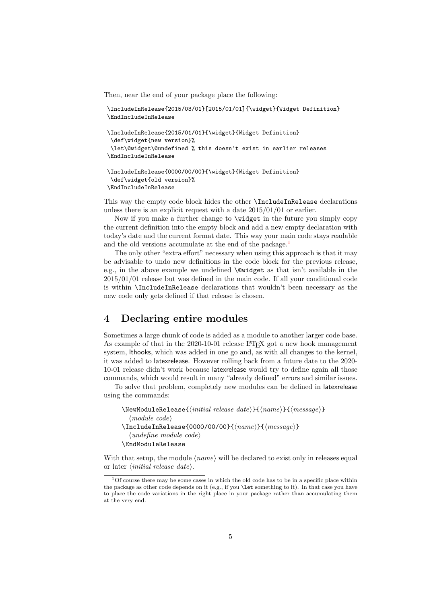Then, near the end of your package place the following:

\IncludeInRelease{2015/03/01}[2015/01/01]{\widget}{Widget Definition} \EndIncludeInRelease \IncludeInRelease{2015/01/01}{\widget}{Widget Definition} \def\widget{new version}%

```
\let\@widget\@undefined % this doesn't exist in earlier releases
\EndIncludeInRelease
```

```
\IncludeInRelease{0000/00/00}{\widget}{Widget Definition}
\def\widget{old version}%
\EndIncludeInRelease
```
This way the empty code block hides the other \IncludeInRelease declarations unless there is an explicit request with a date 2015/01/01 or earlier.

Now if you make a further change to \widget in the future you simply copy the current definition into the empty block and add a new empty declaration with today's date and the current format date. This way your main code stays readable and the old versions accumulate at the end of the package.<sup>[1](#page-4-0)</sup>

The only other "extra effort" necessary when using this approach is that it may be advisable to undo new definitions in the code block for the previous release, e.g., in the above example we undefined **\@widget** as that isn't available in the 2015/01/01 release but was defined in the main code. If all your conditional code is within \IncludeInRelease declarations that wouldn't been necessary as the new code only gets defined if that release is chosen.

# 4 Declaring entire modules

Sometimes a large chunk of code is added as a module to another larger code base. As example of that in the 2020-10-01 release LATEX got a new hook management system, lthooks, which was added in one go and, as with all changes to the kernel, it was added to latexrelease. However rolling back from a future date to the 2020- 10-01 release didn't work because latexrelease would try to define again all those commands, which would result in many "already defined" errors and similar issues.

To solve that problem, completely new modules can be defined in latexrelease using the commands:

```
\NewModuleRelease{⟨initial release date⟩}{⟨name⟩}{⟨message⟩}
  ⟨module code⟩
\IncludeInRelease{0000/00/00}{⟨name⟩}{⟨message⟩}
  ⟨undefine module code⟩
\EndModuleRelease
```
With that setup, the module  $\langle name \rangle$  will be declared to exist only in releases equal or later ⟨initial release date⟩.

<span id="page-4-0"></span><sup>&</sup>lt;sup>1</sup>Of course there may be some cases in which the old code has to be in a specific place within the package as other code depends on it (e.g., if you \let something to it). In that case you have to place the code variations in the right place in your package rather than accumulating them at the very end.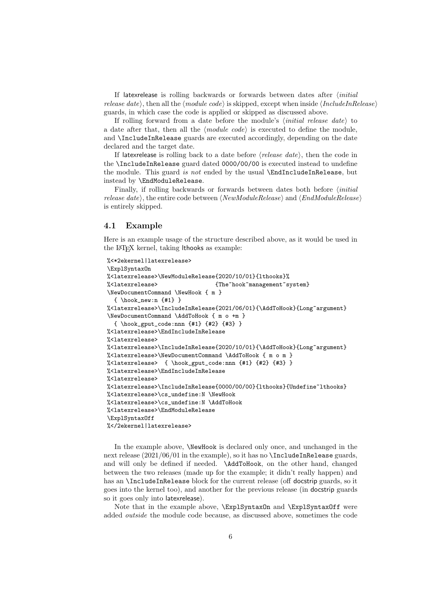If latexrelease is rolling backwards or forwards between dates after  $\langle initial$ release date⟩, then all the  $\langle module \ code \rangle$  is skipped, except when inside  $\langle Include In Release \rangle$ guards, in which case the code is applied or skipped as discussed above.

If rolling forward from a date before the module's  $\langle initial$  release date to a date after that, then all the  $\langle module \ code \rangle$  is executed to define the module, and \IncludeInRelease guards are executed accordingly, depending on the date declared and the target date.

If latexrelease is rolling back to a date before  $\langle release \ date \rangle$ , then the code in the \IncludeInRelease guard dated 0000/00/00 is executed instead to undefine the module. This guard is not ended by the usual \EndIncludeInRelease, but instead by \EndModuleRelease.

Finally, if rolling backwards or forwards between dates both before  $\langle initial$ release date⟩, the entire code between  $\langle NewModule Release \rangle$  and  $\langle EndModuleRelease \rangle$ is entirely skipped.

#### 4.1 Example

Here is an example usage of the structure described above, as it would be used in the LATEX kernel, taking lthooks as example:

```
%<*2ekernel|latexrelease>
\ExplSyntaxOn
%<latexrelease>\NewModuleRelease{2020/10/01}{lthooks}%
%<latexrelease> {The~hook~management~system}
\NewDocumentCommand \NewHook { m }
  \{ \hbox{hook\_new:n } {\#1} \}%<latexrelease>\IncludeInRelease{2021/06/01}{\AddToHook}{Long~argument}
\NewDocumentCommand \AddToHook { m o +m }
  { \hook_gput_code:nnn {#1} {#2} {#3} }
%<latexrelease>\EndIncludeInRelease
%<latexrelease>
%<latexrelease>\IncludeInRelease{2020/10/01}{\AddToHook}{Long~argument}
%<latexrelease>\NewDocumentCommand \AddToHook { m o m }
%<latexrelease> { \hook_gput_code:nnn {#1} {#2} {#3} }
%<latexrelease>\EndIncludeInRelease
%<latexrelease>
%<latexrelease>\IncludeInRelease{0000/00/00}{lthooks}{Undefine~lthooks}
%<latexrelease>\cs_undefine:N \NewHook
%<latexrelease>\cs_undefine:N \AddToHook
%<latexrelease>\EndModuleRelease
\ExplSyntaxOff
%</2ekernel|latexrelease>
```
In the example above, \NewHook is declared only once, and unchanged in the next release  $(2021/06/01$  in the example), so it has no **\IncludeInRelease** guards, and will only be defined if needed. \AddToHook, on the other hand, changed between the two releases (made up for the example; it didn't really happen) and has an \IncludeInRelease block for the current release (off docstrip guards, so it goes into the kernel too), and another for the previous release (in docstrip guards so it goes only into latexrelease).

Note that in the example above,  $\ExplSyntaxOn$  and  $\ExplSyntaxOff$  were added outside the module code because, as discussed above, sometimes the code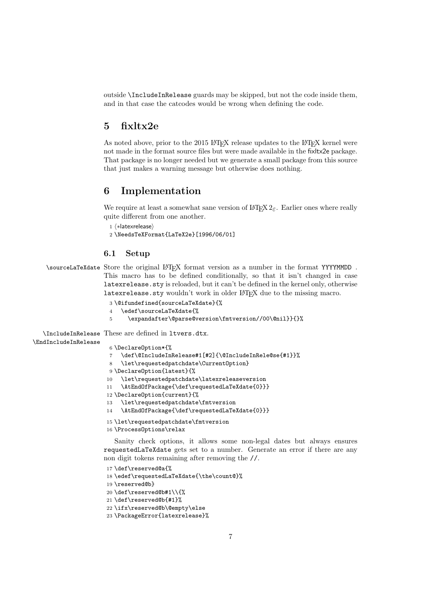outside \IncludeInRelease guards may be skipped, but not the code inside them, and in that case the catcodes would be wrong when defining the code.

# 5 fixltx2e

As noted above, prior to the 2015 LATEX release updates to the LATEX kernel were not made in the format source files but were made available in the fixltx2e package. That package is no longer needed but we generate a small package from this source that just makes a warning message but otherwise does nothing.

## 6 Implementation

We require at least a somewhat sane version of  $\mathbb{A}T\mathbb{R}X$   $2_{\varepsilon}$ . Earlier ones where really quite different from one another.

```
1 ⟨∗latexrelease⟩
```
2 \NeedsTeXFormat{LaTeX2e}[1996/06/01]

#### 6.1 Setup

\sourceLaTeXdate Store the original LATEX format version as a number in the format YYYYMMDD . This macro has to be defined conditionally, so that it isn't changed in case latexrelease.sty is reloaded, but it can't be defined in the kernel only, otherwise latexrelease.sty wouldn't work in older LAT<sub>E</sub>X due to the missing macro.

```
3 \@ifundefined{sourceLaTeXdate}{%
4 \edef\sourceLaTeXdate{%
```

```
5 \expandafter\@parse@version\fmtversion//00\@nil}}{}%
```
\IncludeInRelease These are defined in ltvers.dtx.

#### \EndIncludeInRelease

```
6 \DeclareOption*{%
7 \def\@IncludeInRelease#1[#2]{\@IncludeInRele@se{#1}}%
8 \let\requestedpatchdate\CurrentOption}
9 \DeclareOption{latest}{%
10 \let\requestedpatchdate\latexreleaseversion
11 \AtEndOfPackage{\def\requestedLaTeXdate{0}}}
12 \DeclareOption{current}{%
13 \let\requestedpatchdate\fmtversion
14 \AtEndOfPackage{\def\requestedLaTeXdate{0}}}
15 \let\requestedpatchdate\fmtversion
```
16 \ProcessOptions\relax

Sanity check options, it allows some non-legal dates but always ensures requestedLaTeXdate gets set to a number. Generate an error if there are any non digit tokens remaining after removing the //.

```
17 \def\reserved@a{%
18 \edef\requestedLaTeXdate{\the\count@}%
19 \reserved@b}
20 \def\reserved@b#1\\{%
21 \def\reserved@b{#1}%
22 \ifx\reserved@b\@empty\else
```

```
23 \PackageError{latexrelease}%
```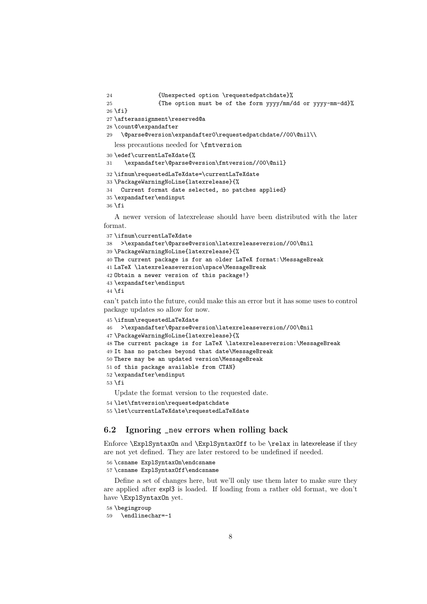```
24 {Unexpected option \requestedpatchdate}%
```

```
25 {The option must be of the form yyyy/mm/dd or yyyy-mm-dd}%
26 \fi}
```

```
27 \afterassignment\reserved@a
```

```
28 \count@\expandafter
```

```
29 \@parse@version\expandafter0\requestedpatchdate//00\@nil\\
```
less precautions needed for \fmtversion

```
30 \edef\currentLaTeXdate{%
```
\expandafter\@parse@version\fmtversion//00\@nil}

```
32 \ifnum\requestedLaTeXdate=\currentLaTeXdate
```

```
33 \PackageWarningNoLine{latexrelease}{%
```

```
34 Current format date selected, no patches applied}
```

```
35 \expandafter\endinput
```

```
36 \fi
```
A newer version of latexrelease should have been distributed with the later format.

```
37 \ifnum\currentLaTeXdate
38 >\expandafter\@parse@version\latexreleaseversion//00\@nil
39 \PackageWarningNoLine{latexrelease}{%
40 The current package is for an older LaTeX format:\MessageBreak
41 LaTeX \latexreleaseversion\space\MessageBreak
42 Obtain a newer version of this package!}
43 \expandafter\endinput
44 \fi
```
can't patch into the future, could make this an error but it has some uses to control package updates so allow for now.

```
45 \ifnum\requestedLaTeXdate
46 >\expandafter\@parse@version\latexreleaseversion//00\@nil
47 \PackageWarningNoLine{latexrelease}{%
48 The current package is for LaTeX \latexreleaseversion:\MessageBreak
49 It has no patches beyond that date\MessageBreak
50 There may be an updated version\MessageBreak
51 of this package available from CTAN}
52 \expandafter\endinput
53 \fi
```
Update the format version to the requested date.

\let\fmtversion\requestedpatchdate

\let\currentLaTeXdate\requestedLaTeXdate

### 6.2 Ignoring \_new errors when rolling back

Enforce \ExplSyntaxOn and \ExplSyntaxOff to be \relax in latexrelease if they are not yet defined. They are later restored to be undefined if needed.

\csname ExplSyntaxOn\endcsname

```
57 \csname ExplSyntaxOff\endcsname
```
Define a set of changes here, but we'll only use them later to make sure they are applied after expl3 is loaded. If loading from a rather old format, we don't have \ExplSyntaxOn yet.

```
58 \begingroup
```

```
59 \endlinechar=-1
```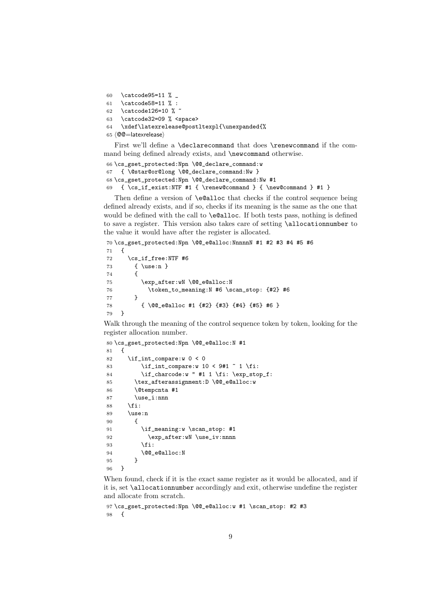```
60 \catcode95=11 \%61 \catcode58=11 % :
62 \catcode126=10 % ~
63 \catcode32=09 % <space>
64 \xdef\latexrelease@postltexpl{\unexpanded{%
65 ⟨@@=latexrelease⟩
```
First we'll define a \declarecommand that does \renewcommand if the command being defined already exists, and \newcommand otherwise.

```
66 \cs_gset_protected:Npn \@@_declare_command:w
67 { \@star@or@long \@@_declare_command:Nw }
68 \cs_gset_protected:Npn \@@_declare_command:Nw #1
69 \{ \cs_i f_exist: NTF #1 {\ renew@command } {\newline we@command } #1 }
```
Then define a version of **\e@alloc** that checks if the control sequence being defined already exists, and if so, checks if its meaning is the same as the one that would be defined with the call to \e@alloc. If both tests pass, nothing is defined to save a register. This version also takes care of setting \allocationnumber to the value it would have after the register is allocated.

```
70 \cs_gset_protected:Npn \@@_e@alloc:NnnnnN #1 #2 #3 #4 #5 #6
71 \quad \text{f}72 \cs_if_free:NTF #6
73 { \use:n }
74 {
75 \exp_after:wN \@@_e@alloc:N
76 \token_to_meaning:N #6 \scan_stop: {#2} #6
77 }
78 { \@@_e@alloc #1 {#2} {#3} {#4} {#5} #6 }
79 }
```
Walk through the meaning of the control sequence token by token, looking for the register allocation number.

```
80 \cs_gset_protected:Npn \@@_e@alloc:N #1
81 {
82 \if_int_compare:w 0 < 083 \ifint_{\text{compare}:w} 10 < 9\#1 \quad 1 \quad \ifint_{\text{compare}:w} 10 \leq 9\#1 \quad \ifint_{\text{compare}:w} 10 \leq 9\#1 \quad \ifint_{\text{compare}:w} 10 \leq 9\#1 \quad \ifint_{\text{compare}:w} 10 \leq 9\#1 \quad \ifint_{\text{compare}:w} 10 \leq 9\#1 \quad \ifint_{\text{compare}:w} 10 \leq 9\#1 \quad \ifint_{\text{compare}:w} 10 \leq 9\#1 \quad \ifint_{\text{compare}:w} 10 \leq 9\#84 \if{charcode:w " #1 1 \if{ii: \exp_stop_f:}85 \tex_afterassignment:D \@@_e@alloc:w
86 \@tempcnta #1
87 \use_i:nnn
88 \fi:
89 \use:n
90 {
91 \if_meaning:w \scan_stop: #1
92 \exp after:wN \use iv:nnnn
93 \fi:
94 \@@_e@alloc:N
95 }
96 }
```
When found, check if it is the exact same register as it would be allocated, and if it is, set \allocationnumber accordingly and exit, otherwise undefine the register and allocate from scratch.

```
97 \cs_gset_protected:Npn \@@_e@alloc:w #1 \scan_stop: #2 #3
98 {
```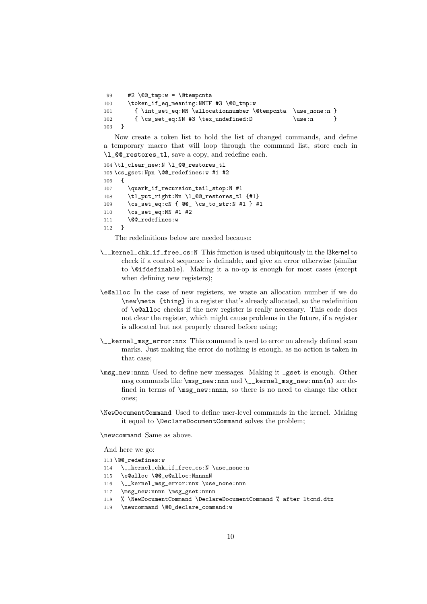```
99 \#2 \ \text{Q@tmp:w = \text{Qtemprnta}}100 \token_if_eq_meaning:NNTF #3 \@@_tmp:w
101 { \int_set_eq:NN \allocationnumber \@tempcnta \use_none:n }
102 { \cs_set_eq:NN #3 \tex_undefined:D \use:n }
103 }
```
Now create a token list to hold the list of changed commands, and define a temporary macro that will loop through the command list, store each in \1  $@Q$  restores tl. save a copy, and redefine each.

```
104 \tl_clear_new:N \l_@@_restores_tl
105 \cs_gset:Npn \@@_redefines:w #1 #2
106 \quad 5107 \quark_if_recursion_tail_stop:N #1
108 \tl_put_right:Nn \l_@@_restores_tl {#1}
109 \cs_set_eq:cN { @@_ \cs_to_str:N #1 } #1
110 \cs_set_eq:NN #1 #2
111 \@@_redefines:w
112 - \lambda
```
The redefinitions below are needed because:

- \\_\_kernel\_chk\_if\_free\_cs:N This function is used ubiquitously in the l3kernel to check if a control sequence is definable, and give an error otherwise (similar to \@ifdefinable). Making it a no-op is enough for most cases (except when defining new registers);
- \e@alloc In the case of new registers, we waste an allocation number if we do \new\meta {thing} in a register that's already allocated, so the redefinition of \e@alloc checks if the new register is really necessary. This code does not clear the register, which might cause problems in the future, if a register is allocated but not properly cleared before using;
- \\_\_kernel\_msg\_error:nnx This command is used to error on already defined scan marks. Just making the error do nothing is enough, as no action is taken in that case;
- \msg\_new:nnnn Used to define new messages. Making it \_gset is enough. Other msg commands like \msg\_new:nnn and \\_\_kernel\_msg\_new:nnn(n) are defined in terms of \msg\_new:nnnn, so there is no need to change the other ones;
- \NewDocumentCommand Used to define user-level commands in the kernel. Making it equal to \DeclareDocumentCommand solves the problem;

\newcommand Same as above.

And here we go:

- 113 \@@\_redefines:w
- 114 \\_\_kernel\_chk\_if\_free\_cs:N \use\_none:n
- 115 \e@alloc \@@\_e@alloc:NnnnnN
- 116 \\_\_kernel\_msg\_error:nnx \use\_none:nnn
- 117 \msg\_new:nnnn \msg\_gset:nnnn
- 118 % \NewDocumentCommand \DeclareDocumentCommand % after ltcmd.dtx
- 119 \newcommand \@@\_declare\_command:w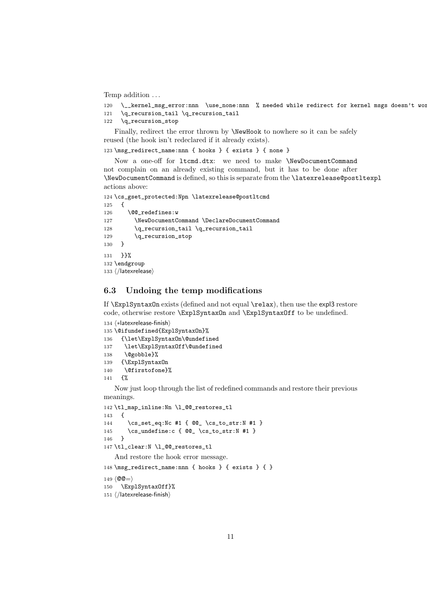Temp addition . . .

```
120 \__kernel_msg_error:nnn \use_none:nnn % needed while redirect for kernel msgs doesn't wor
```

```
121 \q_recursion_tail \q_recursion_tail
```
\q\_recursion\_stop

Finally, redirect the error thrown by **\NewHook** to nowhere so it can be safely reused (the hook isn't redeclared if it already exists).

\msg\_redirect\_name:nnn { hooks } { exists } { none }

Now a one-off for ltcmd.dtx: we need to make \NewDocumentCommand not complain on an already existing command, but it has to be done after \NewDocumentCommand is defined, so this is separate from the \latexrelease@postltexpl actions above:

```
124 \cs_gset_protected:Npn \latexrelease@postltcmd
125 {
126 \@@_redefines:w
127 \NewDocumentCommand \DeclareDocumentCommand
128 \q_recursion_tail \q_recursion_tail
129 \q_recursion_stop
130 }
131 }}%
132 \endgroup
133 ⟨/latexrelease⟩
```
### 6.3 Undoing the temp modifications

If \ExplSyntaxOn exists (defined and not equal \relax), then use the expl3 restore code, otherwise restore \ExplSyntaxOn and \ExplSyntaxOff to be undefined.

```
134 ⟨∗latexrelease-finish⟩
135 \@ifundefined{ExplSyntaxOn}%
136 {\let\ExplSyntaxOn\@undefined
137 \let\ExplSyntaxOff\@undefined
138 \@gobble}%
139 {\ExplSyntaxOn
140 \@firstofone}%
```

```
141 {%
```
Now just loop through the list of redefined commands and restore their previous meanings.

```
142 \tl_map_inline:Nn \l_@@_restores_tl
143 {
144 \cs_set_eq:Nc #1 { @@_ \cs_to_str:N #1 }
145 \cs_undefine:c { @Q \ \csc_1x : N \#1 }
146 }
147 \tl_clear:N \l_@@_restores_tl
   And restore the hook error message.
148 \msg_redirect_name:nnn { hooks } { exists } { }
```

```
149 \langle \mathbb{Q} \mathbb{Q} = \rangle150 \ExplSyntaxOff}%
151 ⟨/latexrelease-finish⟩
```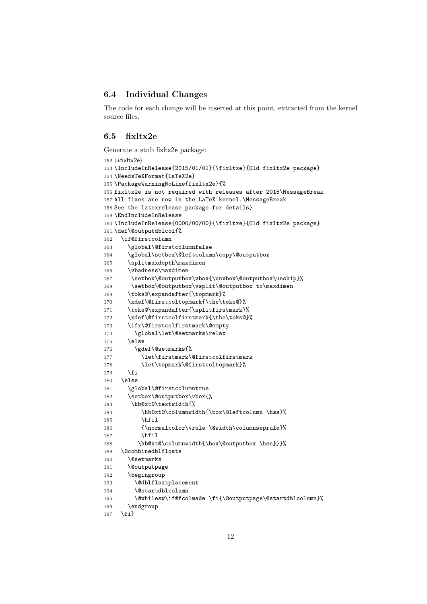### 6.4 Individual Changes

The code for each change will be inserted at this point, extracted from the kernel source files.

#### 6.5 fixltx2e

Generate a stub fixltx2e package:

```
152 ⟨∗fixltx2e⟩
153 \IncludeInRelease{2015/01/01}{\fixltxe}{Old fixltx2e package}
154 \NeedsTeXFormat{LaTeX2e}
155 \PackageWarningNoLine{fixltx2e}{%
156 fixltx2e is not required with releases after 2015\MessageBreak
157 All fixes are now in the LaTeX kernel.\MessageBreak
158 See the latexrelease package for details}
159 \EndIncludeInRelease
160 \IncludeInRelease{0000/00/00}{\fixltxe}{Old fixltx2e package}
161 \def\@outputdblcol{%
162 \if@firstcolumn
163 \global\@firstcolumnfalse
164 \global\setbox\@leftcolumn\copy\@outputbox
165 \splitmaxdepth\maxdimen
166 \vbadness\maxdimen
167 \setbox\@outputbox\vbox{\unvbox\@outputbox\unskip}%
168 \setbox\@outputbox\vsplit\@outputbox to\maxdimen
169 \toks@\expandafter{\topmark}%
170 \xdef\@firstcoltopmark{\the\toks@}%
171 \toks@\expandafter{\splitfirstmark}%
172 \xdef\@firstcolfirstmark{\the\toks@}%
173 \ifx\@firstcolfirstmark\@empty
174 \global\let\@setmarks\relax
175 \else
176 \gdef\@setmarks{%
177 \let\firstmark\@firstcolfirstmark
178 \let\topmark\@firstcoltopmark}%
179 \fi
180 \else
181 \global\@firstcolumntrue
182 \setbox\@outputbox\vbox{%
183 \hb@xt@\textwidth{%
184 \hb@xt@\columnwidth{\box\@leftcolumn \hss}%
185 \hfil
186 {\normalcolor\vrule \@width\columnseprule}%
187 \hfil
188 \hb@xt@\columnwidth{\box\@outputbox \hss}}}%
189 \@combinedblfloats
190 \@setmarks
191 \@outputpage
192 \begingroup
193 \@dblfloatplacement
194 \@startdblcolumn
195 \@whilesw\if@fcolmade \fi{\@outputpage\@startdblcolumn}%
196 \endgroup
197 \fi}
```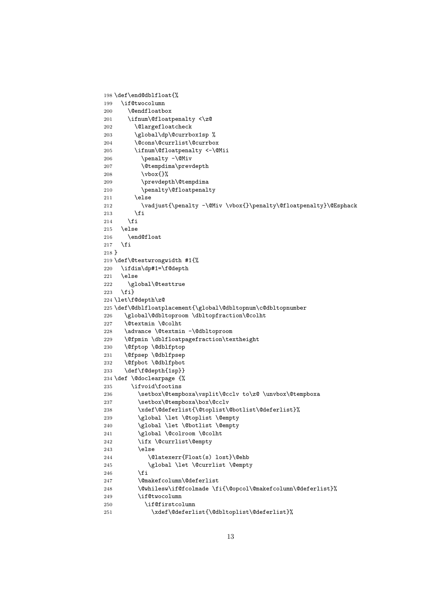```
199 \if@twocolumn
200 \@endfloatbox
201 \ifnum\@floatpenalty <\z@
202 \Clargefloatcheck
203 \global\dp\@currbox1sp %
204 \@cons\@currlist\@currbox
205 \ifnum\@floatpenalty <-\@Mii
206 \penalty -\@Miv
207 \@tempdima\prevdepth
208 \vbox{}%
209 \prevdepth\@tempdima
210 \penalty\@floatpenalty
211 \else
212 \vadjust{\penalty -\@Miv \vbox{}\penalty\@floatpenalty}\@Esphack
213 \qquad \qquad \fi
214 \fi
215 \else
216 \end@float
217 \ifmmode \big\vert \fi
218 }
219 \def\@testwrongwidth #1{%
220 \ifdim\dp#1=\f@depth
221 \else
222 \global\@testtrue
223 \fi}
224 \let\f@depth\z@
225 \def\@dblfloatplacement{\global\@dbltopnum\c@dbltopnumber
226 \global\@dbltoproom \dbltopfraction\@colht
227 \@textmin \@colht
228 \advance \@textmin -\@dbltoproom
229 \@fpmin \dblfloatpagefraction\textheight
230 \@fptop \@dblfptop
231 \@fpsep \@dblfpsep
232 \@fpbot \@dblfpbot
233 \def\f@depth{1sp}}
234 \def \@doclearpage {%
235 \ifvoid\footins
236 \setbox\@tempboxa\vsplit\@cclv to\z@ \unvbox\@tempboxa
237 \setbox\@tempboxa\box\@cclv
238 \xdef\@deferlist{\@toplist\@botlist\@deferlist}%
239 \global \let \@toplist \@empty
240 \global \let \@botlist \@empty
241 \global \@colroom \@colht
242 \ifx \@currlist\@empty
243 \else
244 \\completexerr{Float(s) lost}\complete
245 \global \let \@currlist \@empty
246 \setminusfi
247 \@makefcolumn\@deferlist
248 \@whilesw\if@fcolmade \fi{\@opcol\@makefcolumn\@deferlist}%
249 \if@twocolumn
250 \if@firstcolumn
251 \xdef\@deferlist{\@dbltoplist\@deferlist}%
```
198 \def\end@dblfloat{%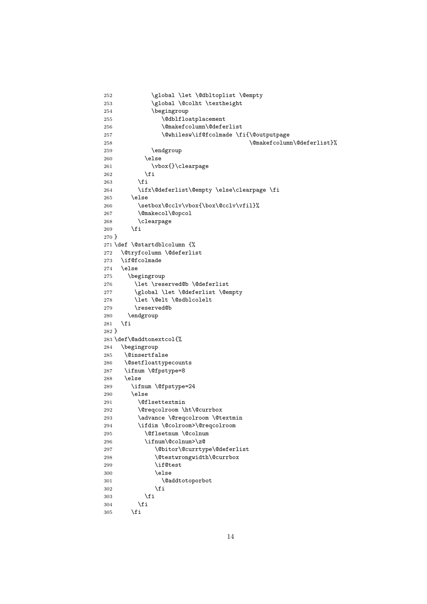```
252 \global \let \@dbltoplist \@empty
253 \global \@colht \textheight
254 \begingroup
255 \@dblfloatplacement
256 \@makefcolumn\@deferlist
257 \@whilesw\if@fcolmade \fi{\@outputpage
258 \@makefcolumn\@deferlist}%
259 \endgroup
260 \else
261 \vbox{}\clearpage
262 \qquad \qquad \text{ifi}263 \setminusfi
264 \ifx\@deferlist\@empty \else\clearpage \fi
265 \else
266 \setbox\@cclv\vbox{\box\@cclv\vfil}%
267 \@makecol\@opcol
268 \clearpage
269 \forallfi
270 }
271 \def \@startdblcolumn {%
272 \@tryfcolumn \@deferlist
273 \if@fcolmade
274 \else
275 \begingroup
276 \let \reserved@b \@deferlist
277 \global \let \@deferlist \@empty
278 \let \@elt \@sdblcolelt
279 \reserved@b
280 \endgroup
281 \fi
282 }
283 \def\@addtonextcol{%
284 \begingroup
285 \@insertfalse
286 \@setfloattypecounts
287 \ifnum \@fpstype=8
288 \else
289 \ifnum \@fpstype=24
290 \else
291 \@flsettextmin
292 \@reqcolroom \ht\@currbox
293 \advance \@reqcolroom \@textmin
294 \ifdim \@colroom>\@reqcolroom
295 \@flsetnum \@colnum
296 \ifnum\@colnum>\z@
297 \@bitor\@currtype\@deferlist
298 \@testwrongwidth\@currbox
299 \if@test
300 \else
301 \@addtotoporbot
302 \qquad \qquad \text{if}303 \overrightarrow{fi}304 \overline{\text{1}}305 \fi
```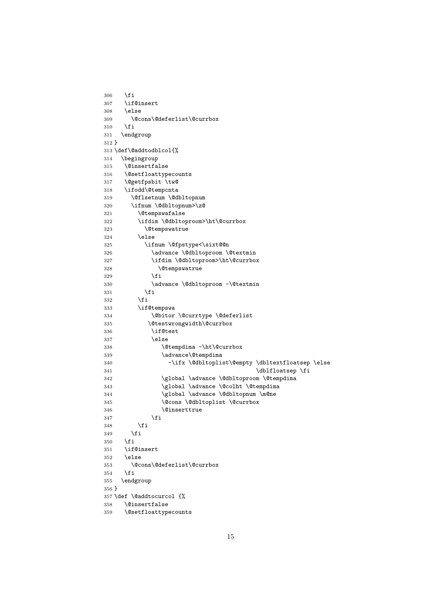```
306 \fi
307 \if@insert
308 \else
309 \@cons\@deferlist\@currbox
310 \foralli
311 \endgroup
312 }
313 \def\@addtodblcol{%
314 \begingroup
315 \@insertfalse
316 \@setfloattypecounts
317 \@getfpsbit \tw@
318 \ifodd\@tempcnta
319 \@flsetnum \@dbltopnum
320 \ifnum \@dbltopnum>\z@
321 \@tempswafalse
322 \ifdim \@dbltoproom>\ht\@currbox
323 \@tempswatrue
324 \else
325 \ifnum \@fpstype<\sixt@@n
326 \dvance \@dbltoproom \@textmin
327 \ifdim \@dbltoproom>\ht\@currbox
328 \@tempswatrue
329 \qquad \qquad \text{ifi}330 \advance \@dbltoproom -\@textmin
331 \fi
332 \setminusfi
333 \if@tempswa
334 \@bitor \@currtype \@deferlist
335 \@testwrongwidth\@currbox
336 \if@test
337 \else
338 \@tempdima -\ht\@currbox
339 \advance\@tempdima
340 -\ifx \@dbltoplist\@empty \dbltextfloatsep \else
341 \dblfloatsep \fi
342 \global \advance \@dbltoproom \@tempdima
343 \global \advance \@colht \@tempdima
344 \global \advance \@dbltopnum \m@ne
345 \@cons \@dbltoplist \@currbox
346 \@inserttrue
347 \fi
348 \fi
349 \fi
350 \fi
351 \if@insert
352 \else
353 \@cons\@deferlist\@currbox
354 \fi
355 \endgroup
356 }
357 \def \@addtocurcol {%
358 \@insertfalse
359 \@setfloattypecounts
```

```
15
```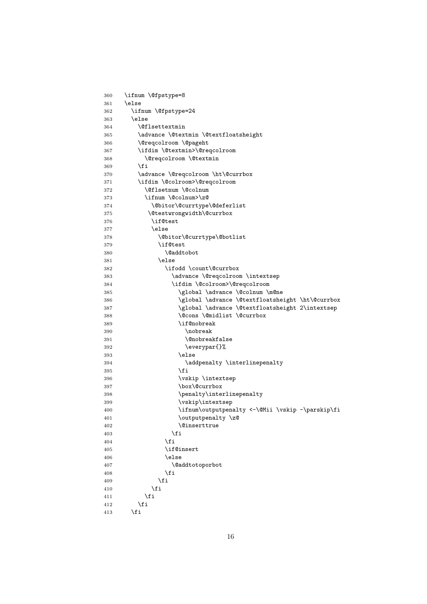```
360 \ifnum \@fpstype=8
361 \else
362 \ifnum \@fpstype=24
363 \else
364 \@flsettextmin
365 \advance \@textmin \@textfloatsheight
366 \@reqcolroom \@pageht
367 \ifdim \@textmin>\@reqcolroom
368 \@reqcolroom \@textmin
369 \fi
370 \advance \@reqcolroom \ht\@currbox
371 \ifdim \@colroom>\@reqcolroom
372 \@flsetnum \@colnum
373 \ifnum \@colnum>\z@
374 \@bitor\@currtype\@deferlist
375 \@testwrongwidth\@currbox
376 \if@test
377 \else
378 \@bitor\@currtype\@botlist
379 \if@test
380 \@addtobot
381 \bigcap382 \ifodd \count\@currbox
383 \dvance \@reqcolroom \intextsep
384 \ifdim \@colroom>\@reqcolroom
385 \global \advance \@colnum \m@ne
386 \global \advance \@textfloatsheight \ht\@currbox
387 \global \advance \@textfloatsheight 2\intextsep
388 \@cons \@midlist \@currbox
389 \if@nobreak
390 \nobreak
391 \@nobreakfalse
392 \everypar{}%
393 \else
394 addpenalty \interlinepenalty
395 \qquad \qquad \text{if }396 \vskip \intextsep
397 \box\@currbox
398 \penalty\interlinepenalty
399 \vskip\intextsep
400 \ifnum\outputpenalty <-\@Mii \vskip -\parskip\fi
401 \outputpenalty \z@
402 \@inserttrue
403 \overline{\phantom{a}} 11404 \qquad \qquad \text{If i}405 \if@insert
406 \else
407 \@addtotoporbot
408 \overline{\phantom{a}} \overline{\phantom{a}}409 \qquad \qquad \text{if }410 \overline{\text{1}}411 \fi
412 \fi
413 \fi
```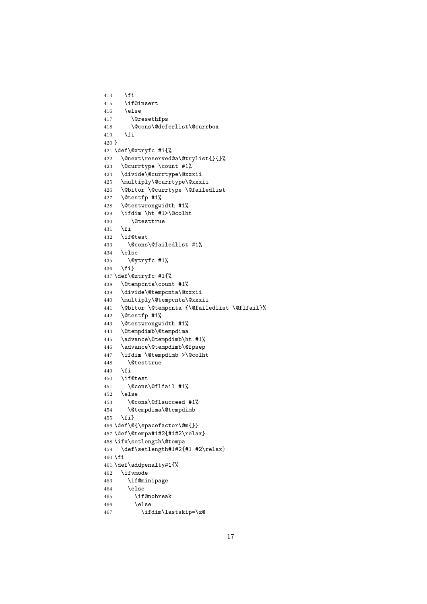```
414 \fi
415 \if@insert
416 \else
417 \@resethfps
418 \@cons\@deferlist\@currbox
419 \{f_i\}420 }
421 \def\@xtryfc #1{%
422 \@next\reserved@a\@trylist{}{}%
423 \@currtype \count #1%
424 \divide\@currtype\@xxxii
425 \multiply\@currtype\@xxxii
426 \@bitor \@currtype \@failedlist
427 \@testfp #1%
428 \@testwrongwidth #1%
429 \ifdim \ht #1>\@colht
430 \@testtrue
431 \fi
432 \if@test
433 \@cons\@failedlist #1%
434 \else
435 \@ytryfc #1%
436 \fi}
437 \def\@ztryfc #1{%
438 \@tempcnta\count #1%
439 \divide\@tempcnta\@xxxii
440 \multiply\@tempcnta\@xxxii
441 \@bitor \@tempcnta {\@failedlist \@flfail}%
442 \@testfp #1%
443 \@testwrongwidth #1%
444 \@tempdimb\@tempdima
445 \advance\@tempdimb\ht #1%
446 \advance\@tempdimb\@fpsep
447 \ifdim \@tempdimb >\@colht
448 \@testtrue
449 \fi
450 \if@test
451 \@cons\@flfail #1%
452 \else
453 \@cons\@flsucceed #1%
454 \@tempdima\@tempdimb
455 \fi}
456 \def\@{\spacefactor\@m{}}
457 \def\@tempa#1#2{#1#2\relax}
458 \ifx\setlength\@tempa
459 \def\setlength#1#2{#1 #2\relax}
460 \fi
461 \def\addpenalty#1{%
462 \ifvmode
463 \if@minipage
464 \else
465 \if@nobreak
466 \else
467 \ifdim\lastskip=\z@
```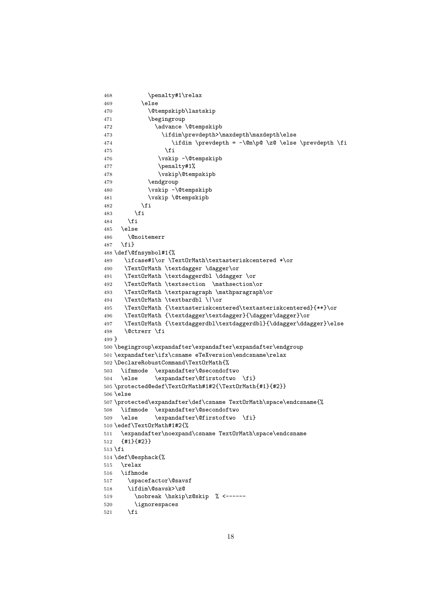```
468 \penalty#1\relax
469 \else
470 \@tempskipb\lastskip
471 \begingroup
472 \dvance \@tempskipb
473 \ifdim\prevdepth>\maxdepth\maxdepth\else
474 \ifdim \preceq = -\@m\p0 \zeta \leq -\leq \else475 \fi
476 \vskip -\@tempskipb
477 \penalty#1%
478 \vskip\@tempskipb
479 \endgroup
480 \vskip -\@tempskipb
481 \vskip \@tempskipb
482 \overline{1}483 \fi
484 \fi
485 \else
486 \@noitemerr
487 \fi}
488 \def\@fnsymbol#1{%
489 \ifcase#1\or \TextOrMath\textasteriskcentered *\or
490 \TextOrMath \textdagger \dagger\or
491 \TextOrMath \textdaggerdbl \ddagger \or
492 \TextOrMath \textsection \mathsection\or
493 \TextOrMath \textparagraph \mathparagraph\or
494 \TextOrMath \textbardbl \|\or
495 \TextOrMath {\textasteriskcentered\textasteriskcentered}{**}\or
496 \TextOrMath {\textdagger\textdagger}{\dagger\dagger}\or
497 \TextOrMath {\textdaggerdbl\textdaggerdbl}{\ddagger\ddagger}\else
498 \@ctrerr \fi
499 }
500 \begingroup\expandafter\expandafter\expandafter\endgroup
501 \expandafter\ifx\csname eTeXversion\endcsname\relax
502 \DeclareRobustCommand\TextOrMath{%
503 \ifmmode \expandafter\@secondoftwo
504 \else \expandafter\@firstoftwo \fi}
505 \protected@edef\TextOrMath#1#2{\TextOrMath{#1}{#2}}
506 \else
507 \protected\expandafter\def\csname TextOrMath\space\endcsname{%
508 \ifmmode \expandafter\@secondoftwo
509 \else \expandafter\@firstoftwo \fi}
510 \edef\TextOrMath#1#2{%
511 \expandafter\noexpand\csname TextOrMath\space\endcsname
512 {#1}{#2}}
513 \fi
514 \def\@esphack{%
515 \relax
516 \ifhmode
517 \spacefactor\@savsf
518 \ifdim\@savsk>\z@
519 \nobreak \hskip\z@skip % <------
520 \ignorespaces
521 \fi
```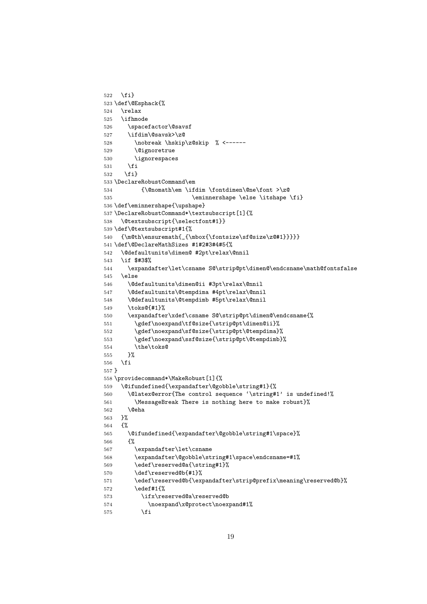```
522 \fi}
523 \def\@Esphack{%
524 \relax
525 \ifhmode
526 \spacefactor\@savsf
527 \ifdim\@savsk>\z@
528 \nobreak \hskip\z@skip % <------
529 \@ignoretrue
530 \ignorespaces
531 \fi
532 \quad \text{if }533 \DeclareRobustCommand\em
534 {\@nomath\em \ifdim \fontdimen\@ne\font >\z@
535 \eminnershape \else \itshape \fi}
536 \def\eminnershape{\upshape}
537 \DeclareRobustCommand*\textsubscript[1]{%
538 \@textsubscript{\selectfont#1}}
539 \def\@textsubscript#1{%
540 {\m0\th} \ensuremath{_{\mbox{\fontsize\sf@size\z@#1}}}}}
541 \def\@DeclareMathSizes #1#2#3#4#5{%
542 \@defaultunits\dimen@ #2pt\relax\@nnil
543 \if $#3$%
544 \expandafter\let\csname S@\strip@pt\dimen@\endcsname\math@fontsfalse
545 \else
546 \@defaultunits\dimen@ii #3pt\relax\@nnil
547 \@defaultunits\@tempdima #4pt\relax\@nnil
548 \@defaultunits\@tempdimb #5pt\relax\@nnil
549 \toks@{#1}%
550 \expandafter\xdef\csname S@\strip@pt\dimen@\endcsname{%
551 \gdef\noexpand\tf@size{\strip@pt\dimen@ii}%
552 \gdef\noexpand\sf@size{\strip@pt\@tempdima}%
553 \gdef\noexpand\ssf@size{\strip@pt\@tempdimb}%
554 \the\toks@
555 }%
556 \fi
557 }
558 \providecommand*\MakeRobust[1]{%
559 \@ifundefined{\expandafter\@gobble\string#1}{%
560 \@latex@error{The control sequence '\string#1' is undefined!%
561 \MessageBreak There is nothing here to make robust}%
562 \@eha
563 }%
564 {%
565 \@ifundefined{\expandafter\@gobble\string#1\space}%
566 {%
567 \expandafter\let\csname
568 \expandafter\@gobble\string#1\space\endcsname=#1%
569 \edef\reserved@a{\string#1}%
570 \def\reserved@b{#1}%
571 \edef\reserved@b{\expandafter\strip@prefix\meaning\reserved@b}%
572 \edef#1{%
573 \ifx\reserved@a\reserved@b
574 \noexpand\x@protect\noexpand#1%
575 \fi
```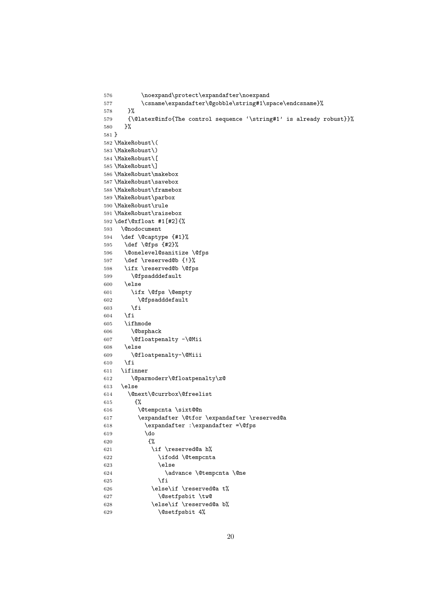```
576 \noexpand\protect\expandafter\noexpand
577 \csname\expandafter\@gobble\string#1\space\endcsname}%<br>578 }%
578
579 {\@latex@info{The control sequence '\string#1' is already robust}}%
580 }%
581 }
582 \MakeRobust\(
583 \MakeRobust\)
584 \MakeRobust\[
585 \MakeRobust\]
586 \MakeRobust\makebox
587 \MakeRobust\savebox
588 \MakeRobust\framebox
589 \MakeRobust\parbox
590 \MakeRobust\rule
591 \MakeRobust\raisebox
592 \def\@xfloat #1[#2]{%
593 \@nodocument
594 \def \@captype {#1}%
595 \def \@fps {#2}%
596 \@onelevel@sanitize \@fps
597 \def \reserved@b {!}%
598 \ifx \reserved@b \@fps
599 \@fpsadddefault
600 \else
601 \ifx \@fps \@empty
602 \@fpsadddefault
603 \fi
604 \overrightarrow{fi}605 \ifhmode
606 \@bsphack
607 \@floatpenalty -\@Mii
608 \else
609 \@floatpenalty-\@Miii
610 \fi
611 \ifinner
612 \@parmoderr\@floatpenalty\z@
613 \else
614 \@next\@currbox\@freelist
615 {%
616 \@tempcnta \sixt@@n
617 \expandafter \@tfor \expandafter \reserved@a
618 \expandafter :\expandafter =\@fps
619 \do
620 \{% \}
621 \iint \reserved@a h%622 \ifodd \@tempcnta
623 \else
624 \dvance \@tempcnta \@ne
625 \fi
626 \else\if \reserved@a t%
627 \@setfpsbit \tw@
628 \else\if \reserved@a b%
629 \@setfpsbit 4%
```